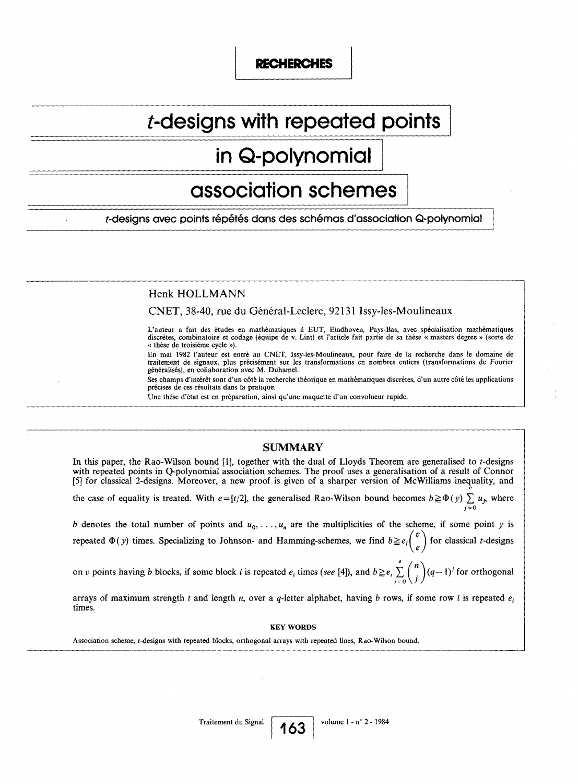## RECHERCHES

# t-designs with repeated points

## in Q-polynomial

## association schemes

t-designs avec points répétés dans des schémas d'association Q-polynomial

## Henk HOLLMANN

CNET, 38-40, rue du Général-Leclerc, 92131 Issy-les-Moulineaux

L'auteur a fait des études en mathématiques à EUT, Eindhoven, Pays-Bas, avec spécialisation mathématiques discrètes, combinatoire et codage (équipe de v . Lint) et l'article fait partie de sa thèse « masters degree » (sorte de « thèse de troisième cycle ») .

En mai 1982 l'auteur est entré au CNET, Issy-les-Moulineaux, pour faire de la recherche dans le domaine de traitement de signaux, plus précisément sur les transformations en nombres entiers (transformations de Fourier généralisés), en collaboration avec M . Duhamel.

Ses champs d'intérêt sont d'un côté la recherche théorique en mathématiques discrètes, d'un autre côté les applications précises de ces résultats dans la pratique.

e

Une thèse d'état est en préparation, ainsi qu'une maquette d'un convolueur rapide.

## **SUMMARY**

In this paper, the Rao-Wilson bound [1], together with the dual of Lloyds Theorem are generalised to  $t$ -designs with repeated points in Q-polynomial association schemes . The proof uses a generalisation of a result of Connor [5] for classical 2-designs . Moreover, a new proof is given of a sharper version of McWilliams inequality, and

the case of equality is treated. With  $e = [t/2]$ , the generalised Rao-Wilson bound becomes  $b \geq \Phi(y) \sum_{i=0} u_i$ , where  $j=0$ 

b denotes the total number of points and  $u_0, \ldots, u_n$  are the multiplicities of the scheme, if some point y is repeated  $\Phi(y)$  times. Specializing to Johnson- and Hamming-schemes, we find  $b \leq e_i$  $\vee$  $e^{j}$  for classical *t*-designs

e on v points having b blocks, if some block i is repeated  $e_i$  times (see [4]), and  $b \geq e_i \sum_{i=0}^{i} { (q-1)^i}$  for orthogonal  $j=0 \setminus J$ 

arrays of maximum strength t and length n, over a q-letter alphabet, having b rows, if some row i is repeated  $e_i$ times.

### KEY WORDS

Association scheme, t-designs with repeated blocks, orthogonal arrays with repeated lines, Rao-Wilson bound .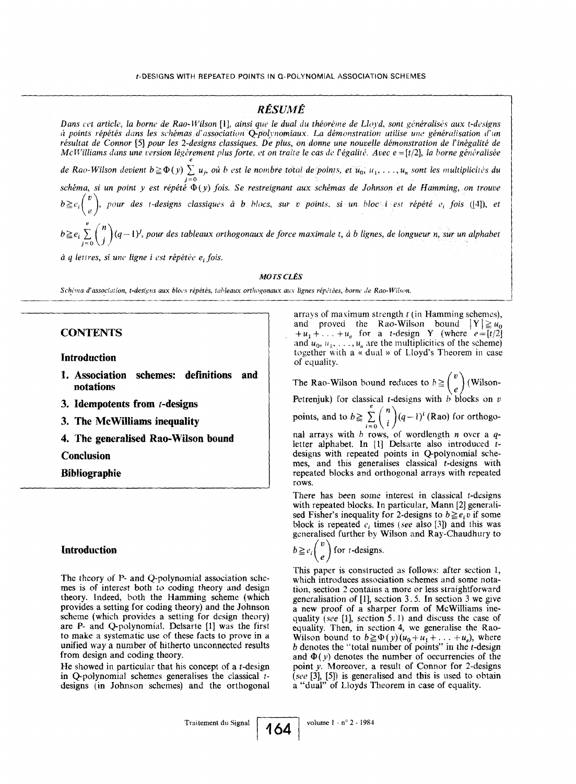## RÉSUMÉ

Dans cet article, la borne de Rao-Wilson [1], ainsi que le dual du théorème de Lloyd, sont généralisés aux t-designs à points répétés dans les schémas-d'association Qpolynomiaux . La démonstration utilise une généralisation d'un résultat de Connor [5] pour les 2-designs classiques. De plus, on donne une nouvelle démonstration de l'inégalité de McWilliams dans une version légèrement plus forte, et on traite le cas de l'égalité. Avec  $e = [t/2]$ , la borne généralisée e de Rao-Wilson devient  $b \ge \Psi(y) \ge u_j$ , où o est le nombre total de points, et  $u_0, u_1, \ldots, u_n$  sont les multiplicités du  $j=0$  $s$ chéma, si un point y est répété  $\mathbf{\Psi}(y)$  fois. Se restreignant aux schémas de Johnson et de Hamming, on trouve  $b \geq e_i \binom{v}{\rho}$ , pour des t-designs classiques à b blocs, sur v points, si un bloc i est répété e<sub>t</sub> fois ([4]), et  $b \geq e_i \sum_{j=0}^{e} {n \choose j} (q-1)^j$ , pour des tableaux orthogonaux de force maximale t, à b lignes, de longueur n, sur un alphabet **EXECUTE:**<br>
For the peak of the peak of the state of the state of the state of the state of the state of the state of the state of the state of the state of the state of the state of the state of the state of the state of

 $\dot{a}$  q lettres, si une ligne i est répétée e<sub>i</sub> fois.

MOTS CLÉS

Schéma d'association, t-designs aux blocs répétés, tableaux orthogonaux aux lignes répétées, borne de Rao-Wilson.

## **CONTENTS**

Introduction

- <sup>1</sup> . Association schemes: definitions and notations
- 3. Idempotents from  $t$ -designs
- 3. The MeWilliams inequality
- 4. The generalised Rao-Wilson bound

Conclusion

Bibliographie

## Introduction

The theory of P- and Q-polynomial association schemes is of interest both to coding theory and design theory. Indeed, both the Hamming scheme (which provides a setting for coding theory) and the Johnson scheme (which provides a setting for design theory) are P- and Q-polynomial. Delsarte [1] was the first to make a systematic use of these facts to prove in a unified way a number of hitherto unconnected results from design and coding theory.

He showed in particular that his concept of a  $t$ -design in Q-polynomial schemes generalises the classical tdesigns (in Johnson schemes) and the orthogonal

and  $u_0, u_1, \ldots, u_n$  are the multiplicities of the scheme) together with a « dual » of Lloyd's Theorem in case of equality. arrays of maximum strength  $t$  (in Hamming schemes), and proved the Rao-Wilson bound  $|Y| \ge u_0$  $+u_1 + \ldots + u_e$  for a *t*-design Y (where  $e = [t/2]$ 

The Rao-Wilson bound reduces to  $b \geq {v \choose e}$  (Wilson-**Petrenjuk)** for classical t-designs with  $\theta$  blocks on  $\theta$ points, and to  $b \ge \sum_{i=0}^{e} \binom{n}{i}$  $(q-1)$ <sup>'</sup> (Rao) for orthogo-

nal arrays with  $\sigma$  rows, of wordlength *n* over a  $q$ letter alphabet. In [1] Delsarte also introduced tdesigns with repeated points in Q-polynomial schemes, and this generalises classical t-designs with repeated blocks and orthogonal arrays with repeated rows.

There has been some interest in classical t-designs with repeated blocks. In particular, Mann [2] generalised Fisher's inequality for 2-designs to  $b \ge e_i v$  if some block is repeated  $e_i$ , times (see also [3]) and this was generalised further by Wilson and Ray-Chaudhury to

$$
b \geq e_i \binom{v}{e} \text{ for } t\text{-designs}
$$

This paper is constructed as follows: after section 1, which introduces association schemes and some notation, section 2 contains a more or less straightforward generalisation of [1], section 3 . 5 . In section 3 we give a new proof of a sharper form of McWilliams inequality (see [1], section 5.1) and discuss the case of equality. Then, in section 4, we generalise the Rao-Wilson bound to  $b \geq \Phi(y) (u_0 + u_1 + \ldots + u_n)$ , where  $b$  denotes the "total number of points" in the  $t$ -design and  $\Phi(y)$  denotes the number of occurrencies of the point y. Moreover, a result of Connor for 2-designs (see [3], [5]) is generalised and this is used to obtain a "dual" of Lloyds Theorem in case of equality.

Traitement du Signal

104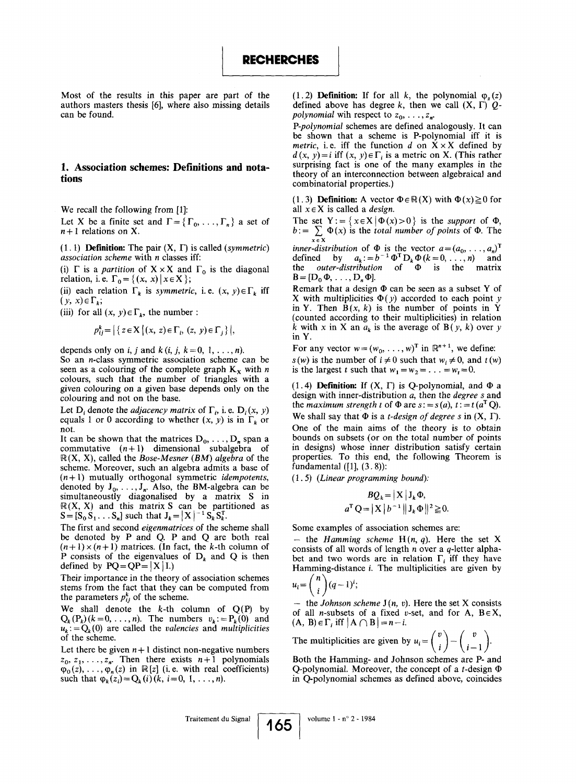Most of the results in this paper are part of the authors masters thesis [6], where also missing details can be found.

### 1. Association schemes: Definitions and notations

We recall the following from [1]:

Let X be a finite set and  $\Gamma = \{\Gamma_0, \ldots, \Gamma_n\}$  a set of  $n+1$  relations on X.

(1. 1) **Definition:** The pair  $(X, \Gamma)$  is called (symmetric) association scheme with n classes iff:

(i)  $\Gamma$  is a *partition* of  $X \times X$  and  $\Gamma_0$  is the diagonal relation, i.e.  $\Gamma_0 = \{ (x, x) | x \in X \}$ ;

(ii) each relation  $\Gamma_k$  is symmetric, i.e.  $(x, y) \in \Gamma_k$  iff  $(y, x) \in \Gamma_k$ ;

(iii) for all  $(x, y) \in \Gamma_k$ , the number:

$$
p_{ij}^k = \left| \left\{ z \in X \middle| (x, z) \in \Gamma_i, (z, y) \in \Gamma_j \right\} \right|,
$$

depends only on *i*, *j* and *k* (*i*, *j*, *k* = 0, 1, . . . , *n*).

So an n-class symmetric association scheme can be seen as a colouring of the complete graph  $K_x$  with n colours, such that the number of triangles with a given colouring on a given base depends only on the colouring and not on the base.

Let  $D_i$  denote the *adjacency matrix* of  $\Gamma_i$ , i. e.  $D_i(x, y)$ equals 1 or 0 according to whether  $(x, y)$  is in  $\Gamma_k$  or not.

It can be shown that the matrices  $D_0, \ldots, D_n$  span a commutative  $(n+1)$  dimensional subalgebra of  $\mathbb{R}(X, X)$ , called the Bose-Mesner (BM) algebra of the scheme. Moreover, such an algebra admits a base of  $(n+1)$  mutually orthogonal symmetric *idempotents*, denoted by  $J_0, \ldots, J_n$ . Also, the BM-algebra can be simultaneoustly diagonalised by a matrix S in  $\mathbb{R}(\lambda, \lambda)$  and this matrix  $S$  can be partitioned as  $S = [S_0 S_1 \dots S_n]$  such that  $J_k = |X|^{-1} S_k S_k^T$ .

The first and second eigenmatrices of the scheme shall be denoted by P and Q. P and Q are both real  $(n+1) \times (n+1)$  matrices. (In fact, the k-th column of P consists of the eigenvalues of  $D_k$  and Q is then defined by  $PQ = QP = |X|I$ .

Their importance in the theory of association schemes stems from the fact that they can be computed from the parameters  $p_{ij}^k$  of the scheme.

We shall denote the  $k$ -th column of  $Q(P)$  by  $Q_k(P_k)$   $(k = 0, \ldots, n)$ . The numbers  $v_k := P_k(0)$  and  $u_k := Q_k(0)$  are called the valencies and multiplicities of the scheme.

Let there be given  $n+1$  distinct non-negative numbers  $z_0, z_1, \ldots, z_n$ . Then there exists  $n+1$  polynomials  $\varphi_0(z), \ldots, \varphi_n(z)$  in  $\mathbb{R}[z]$  (i.e. with real coefficients) such that  $\varphi_k(z_i) = Q_k(i) (k, i = 0, 1, ..., n)$ .

(1.2) **Definition:** If for all k, the polynomial  $\varphi_z(z)$ defined above has degree k, then we call  $(X, \Gamma)$  Qpolynomial wih respect to  $z_0, \ldots, z_n$ .

P-polynomial schemes are defined analogously. It can be shown that a scheme is P-polynomial iff it is metric, i.e. iff the function d on  $X \times X$  defined by  $d(x, y) = i$  iff  $(x, y) \in \Gamma_i$  is a metric on X. (This rather surprising fact is one of the many examples in the theory of an interconnection between algebraical and combinatorial properties.)

(1.3) **Definition:** A vector  $\Phi \in \mathbb{R} (X)$  with  $\Phi(x) \ge 0$  for all  $x \in X$  is called a *design*.

The set  $Y := \{ x \in X \mid \Phi(x) > 0 \}$  is the support of  $\Phi$ ,  $b := \sum_{x \in X} \Phi(x)$  is the *total number of points* of  $\Phi$ . The

inner-distribution of  $\Phi$  is the vector  $a = (a_0, \ldots, a_n)^T$ defined by  $a_k := b^{-1} \Psi^* D_k \Psi (k = 0, \ldots, n)$  and the *outer-distribution* of  $\Phi$  is the matrix  $B=[D_0 \Phi, \ldots, D_n \Phi].$ 

Remark that a design  $\Phi$  can be seen as a subset Y of X with multiplicities  $\Phi(y)$  accorded to each point y in Y. Then  $B(x, k)$  is the number of points in Y (counted according to their multiplicities) in relation k with x in X an  $a_k$  is the average of B(y, k) over y in Y.

For any vector  $w = (w_0, \ldots, w)^T$  in  $\mathbb{R}^{n+1}$ , we define:  $s(w)$  is the number of  $i \neq 0$  such that  $w_i \neq 0$ , and  $t(w)$ is the largest t such that  $w_1 = w_2 = \ldots = w_t = 0$ .

(1.4) Definition: If  $(X, \Gamma)$  is Q-polynomial, and  $\Phi$  a design with inner-distribution a, then the *degree* s and the maximum strength t of  $\Phi$  are  $s := s(a)$ ,  $t := t(a^T Q)$ . We shall say that  $\Phi$  is a *t-design of degree s* in  $(X, \Gamma)$ . One of the main aims of the theory is to obtain bounds on subsets (or on the total number of points in designs) whose inner distribution satisfy certain properties. To this end, the following Theorem is fundamental  $([1], (3.8))$ :

 $(1.5)$  (Linear programming bound):

$$
BQ_k = |X| J_k \Phi,
$$
  

$$
a^{\mathrm{T}} Q = |X| b^{-1} ||J_k \Phi||^2 \ge 0.
$$

Some examples of association schemes are:

- the Hamming scheme  $H(n, q)$ . Here the set X consists of all words of length  $n$  over a  $q$ -letter alphabet and two words are in relation  $\Gamma_i$  iff they have Hamming-distance  $i$ . The multiplicities are given by

$$
u_i = {n \choose i} (q-1)^i;
$$

- the Johnson scheme  $J(n, v)$ . Here the set X consists of all *n*-subsets of a fixed v-set, and for A,  $B \in X$ ,  $(A, B) \in \Gamma_i$  iff  $|A \cap B| = n - i$ .

The multiplicities are given by  $u_i = \begin{pmatrix} v \\ i \end{pmatrix} - \begin{pmatrix} v \\ i-1 \end{pmatrix}$ .

Both the Hamming- and Johnson schemes are P- and Q-polynomial. Moreover, the concept of a t-design  $\Phi$ in Q-polynomial schemes as defined above, coincides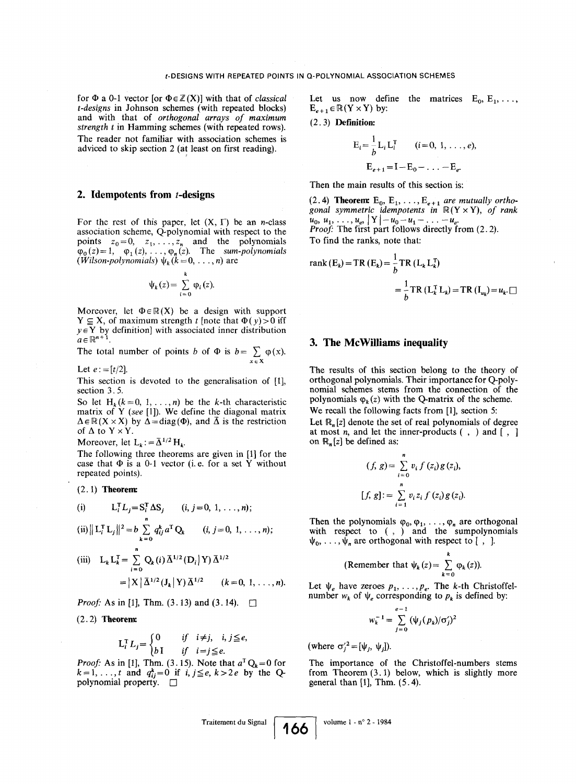for  $\Phi$  a 0-1 vector [or  $\Phi \in \mathbb{Z}(X)$ ] with that of classical t-designs in Johnson schemes (with repeated blocks) and with that of orthogonal arrays of maximum strength t in Hamming schemes (with repeated rows). The reader not familiar with association schemes is adviced to skip section 2 (at least on first reading) . *t*-DES<br>
for  $\Phi$  a 0-1 vector [or  $\Phi \in \mathbb{Z}$ <br>
t-designs in Johnson schem<br>
and with that of orthog<br>
strength *t* in Hamming scheme<br>
The reader not familiar w<br>
adviced to skip section 2 (a<br>
The reader not familiar w<br>
adv

### 2. Idempotents from  $t$ -designs

For the rest of this paper, let  $(X, \Gamma)$  be an *n*-class association scheme, Q-polynomial with respect to the association scheme,  $Q$ -polynomial with respect to the<br>points  $z_0 = 0$ ,  $z_1, \ldots, z_n$  and the polynomials  $\varphi_0(z) = 1, \quad \varphi_1(z), \dots, \varphi_n(z)$ . The sum-polynomials (*Wilson-polynomials*)  $\psi_k$  ( $k = 0, \ldots, n$ ) are

$$
\psi_k(z) = \sum_{i=0}^k \varphi_i(z).
$$

Moreover, let  $\Phi \in \mathbb{R}(X)$  be a design with support  $Y \subseteq X$ , of maximum strength t [note that  $\Phi(y) > 0$  iff  $y \in Y$  by definition] with associated inner distribution  $a \in \mathbb{R}^{n+1}$ 

The total number of points b of  $\Phi$  is  $b = \sum_{x \in X} \phi(x)$ .

Let  $e := [t/2]$ .

This section is devoted to the generalisation of [1], section 3.5.

So let H<sub>k</sub> ( $k = 0, 1, ..., n$ ) be the k-th characteristic matrix of Y (see [1]). We define the diagonal matrix  $\Delta \in \mathbb{R} (X \times X)$  by  $\Delta = \text{diag}(\Phi)$ , and  $\overline{\Delta}$  is the restriction of  $\Delta$  to  $Y \times Y$ .

Moreover, let  $L_k := \bar{\Delta}^{1/2} H_k$ .

The following three theorems are given in [1] for the case that  $\Phi$  is a 0-1 vector (i.e. for a set Y without repeated points).

#### $(2.1)$  Theorem:

(i) 
$$
L_i^T L_j = S_i^T \Delta S_j
$$
 (i, j = 0, 1, ..., n);

$$
(ii) || L_i^1 L_j ||^2 = b \sum_{k=0} q_{ij}^k a^1 Q_k \qquad (i, j = 0, 1, ..., n);
$$

(iii) 
$$
L_k L_k^T = \sum_{i=0}^n Q_k(i) \bar{\Delta}^{1/2} (D_i | Y) \bar{\Delta}^{1/2}
$$
  
=  $|X| \bar{\Delta}^{1/2} (J_k | Y) \bar{\Delta}^{1/2} (k = 0, 1, ..., n).$ 

*Proof:* As in [1], Thm.  $(3.13)$  and  $(3.14)$ .  $\square$ 

#### $(2.2)$  Theorem:

$$
L_i^T L_j = \begin{cases} 0 & \text{if } i \neq j, i, j \leq e, \\ b \, 1 & \text{if } i = j \leq e. \end{cases}
$$

*Proof:* As in [1], Thm. (3.15). Note that  $a^T Q_k = 0$  for  $k=1, \ldots, t$  and  $q_{ij}^k=0$  if i,  $j \leq e, k>2e$  by the Qpolynomial property.  $\Box$ 

Let us now define the matrices  $E_0, E_1, \ldots, E_n$  $E_{e+1} \in \mathbb{R} (Y \times Y)$  by:

$$
(2.3) \textbf{Definition:}
$$

$$
E_i = \frac{1}{b} L_i L_i^T \qquad (i = 0, 1, ..., e),
$$
  

$$
E_{e+1} = I - E_0 - ... - E_e.
$$

Then the main results of this section is:

(2.4) Theorem:  $E_0, E_1, \ldots, E_{e+1}$  are mutually orthogonal symmetric idempotents in  $\mathbb{R}$ (**Y**  $\times$  **Y**), of rank  $u_0, u_1, \ldots, u_e, |Y| - u_0 - u_1 - \ldots - u_e.$ Proof. The first part follows directly from  $(2.2)$ . To find the ranks, note that:

rank 
$$
(E_k)
$$
 = TR  $(E_k)$  =  $\frac{1}{b}$  TR  $(L_k L_k^T)$   
=  $\frac{1}{b}$  TR  $(L_k^T L_k)$  = TR  $(I_{u_k})$  =  $u_k$ .

#### 3. The McWilliams inequality

The results of this section belong to the theory of orthogonal polynomials. Their importance for Q-polynomial schemes stems from the connection of the polynomials  $\varphi_k(z)$  with the Q-matrix of the scheme. We recall the following facts from [1], section 5:

Let  $\mathbb{R}_{n}[z]$  denote the set of real polynomials of degree at most  $n$ , and let the inner-products  $( , )$  and  $[ , ]$ on  $\mathbb{R}_n[z]$  be defined as:

$$
(f, g) = \sum_{i=0}^{n} v_i f(z_i) g(z_i),
$$
  

$$
[f, g] := \sum_{i=1}^{n} v_i z_i f(z_i) g(z_i).
$$

Then the polynomials  $\varphi_0, \varphi_1, \ldots, \varphi_n$  are orthogonal with respect to (, ) and the sumpolynomials  $\psi_0, \ldots, \psi_n$  are orthogonal with respect to [, ].

(Remember that 
$$
\psi_k(z) = \sum_{k=0}^{k} \varphi_k(z)
$$
).

Let  $\psi_e$  have zeroes  $p_1, \ldots, p_e$ . The k-th Christoffelnumber  $w_k$  of  $\psi_e$  corresponding to  $p_k$  is defined by:

$$
w_k^{-1} = \sum_{j=0}^{e-1} (\psi_j(p_k)/\sigma'_j)^2
$$

(where  $\sigma_i^2=[\psi_i, \psi_i]$ ).

volume 1 - n° 2 - 1984

The importance of the Christoffel-numbers stems from Theorem  $(3.1)$  below, which is slightly more general than  $[1]$ , Thm.  $(5.4)$ .

Traitement du Signal

166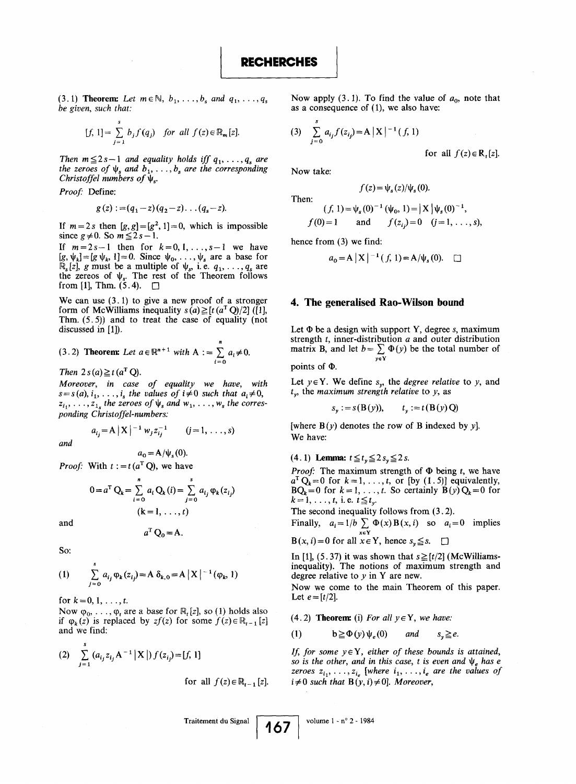(3.1) Theorem: Let  $m \in \mathbb{N}$ ,  $b_1, \ldots, b_s$  and  $q_1, \ldots, q_s$ be given, such that:

$$
[f, 1] = \sum_{j=1}^{s} b_j f(q_j) \quad \text{for all } f(z) \in \mathbb{R}_m[z].
$$

Then  $m \le 2 s - 1$  and equality holds iff  $q_1, \ldots, q_s$  are the zeroes of  $\psi_s$  and  $b_1, \ldots, b_s$  are the corresponding Christoffel numbers of  $\psi_s$ .

Proof: Define:

$$
g(z) := (q_1 - z)(q_2 - z) \dots (q_s - z).
$$

If  $m = 2s$  then  $[g, g] = [g^2, 1] = 0$ , which is impossible since  $g \neq 0$ . So  $m \leq 2s-1$ .

If  $m=2s-1$  then for  $k=0,1,\ldots,s-1$  we have  $[g, \psi_k] = [g \psi_k, 1] = 0$ . Since  $\psi_0, \dots, \psi_s$  are a base for  $\mathbb{R}_s[z]$ , g must be a multiple of  $\psi_s$ , i.e.  $q_1, \ldots, q_s$  are the zereos of  $\psi_{s}$ . The rest of the Theorem follows from [1], Thm.  $(5.4)$ .  $\square$ 

We can use  $(3.1)$  to give a new proof of a stronger form of McWilliams inequality  $s(a) \ge [t (a^T Q)/2]$  ([1], Thm.  $(5.5)$  and to treat the case of equality (not discussed in [1]).

(3.2) Theorem: Let 
$$
a \in \mathbb{R}^{n+1}
$$
 with  $A := \sum_{i=0}^{n} a_i \neq 0$ .

Then  $2 s(a) \geq t(a^T Q)$ .

Moreover, in case of equality we have, with  $s = s(a), i_1, \ldots, i_s$  the values of  $i \neq 0$  such that  $a_i \neq 0$ ,  $z_{i_1}, \ldots, z_{i_s}$  the zeroes of  $\psi_s$  and  $w_1, \ldots, w_s$  the corresponding Christoffel-numbers:

$$
a_{ij} = A |X|^{-1} w_j z_{ij}^{-1} \qquad (j = 1, ..., s)
$$

and

 $a_0 = A/\psi_s (0)$ .

*Proof:* With  $t := t (a^T Q)$ , we have

$$
0 = a^{T} Q_{k} = \sum_{i=0}^{n} a_{i} Q_{k}(i) = \sum_{j=0}^{s} a_{i_{j}} \varphi_{k}(z_{i_{j}})
$$
  
(k = 1, ..., t)

and

$$
a^{\mathrm{T}}\mathbf{Q}_0 = \mathbf{A}.
$$

So:

(1) 
$$
\sum_{j=0}^{s} a_{ij} \varphi_k(z_{ij}) = A \delta_{k,0} = A |X|^{-1} (\varphi_k, 1)
$$

for  $k = 0, 1, \ldots, t$ .

Now  $\varphi_0, \ldots, \varphi_t$  are a base for  $\mathbb{R}_t[z]$ , so (1) holds also if  $\varphi_k(z)$  is replaced by  $zf(z)$  for some  $f(z) \in \mathbb{R}_{t-1}[z]$ and we find:

(2) 
$$
\sum_{j=1}^{s} (a_{i_j} z_{i_j} A^{-1} | X |) f(z_{i_j}) = [f, 1]
$$

for all 
$$
f(z) \in \mathbb{R}_{t-1}[z]
$$
.

Now apply (3.1). To find the value of  $a_0$ , note that as a consequence of (1), we also have:

(3) 
$$
\sum_{j=0}^{s} a_{ij} f(z_{ij}) = A |X|^{-1} (f, 1)
$$

for all  $f(z) \in \mathbb{R}$ , [z].

Now take:

$$
f(z) = \psi_s(z)/\psi_s(0).
$$

Then:  $(f, 1) = \psi_s(0)^{-1} (\psi_0, 1) = |X| \psi_s(0)^{-1}$ 

$$
f(0)=1
$$
 and  $f(z_{ij})=0$   $(j=1,\ldots,s),$ 

hence from  $(3)$  we find:

$$
a_0 = A |X|^{-1} (f, 1) = A/\psi_s (0).
$$

#### 4. The generalised Rao-Wilson bound

Let  $\Phi$  be a design with support Y, degree s, maximum strength t, inner-distribution a and outer distribution matrix B, and let  $b = \sum \Psi(y)$  be the total number of yEY

points of  $\Phi$ .

Let  $y \in Y$ . We define  $s_y$ , the *degree relative* to y, and  $t_v$ , the maximum strength relative to y, as

$$
s_y := s(B(y)), \qquad t_y := t(B(y)Q)
$$

[where  $B(y)$  denotes the row of B indexed by y]. We have:

(4.1) Lemma:  $t \le t_y \le 2 s_y \le 2 s$ .

*Proof*: The maximum strength of  $\Phi$  being t, we have  $a^T Q_k = 0$  for  $k = 1, \ldots, t$ , or [by (1.5)] equivalently,  $BQ_k = 0$  for  $k = 1, \ldots, t$ . So certainly  $B(y)Q_k = 0$  for  $k = 1, \ldots, t$ , i.e.  $t \leq t_{y}$ .

The second inequality follows from  $(3.2)$ .

Finally,  $a_i = 1/b \sum_{x \in Y} \Phi(x) B(x, i)$  so  $a_i = 0$  implies

 $B(x, i) = 0$  for all  $x \in Y$ , hence  $s_y \leq s$ .  $\square$ 

In [1], (5.37) it was shown that  $s \geq \lfloor t/2 \rfloor$  (McWilliamsinequality). The notions of maximum strength and degree relative to  $y$  in Y are new.

Now we come to the main Theorem of this paper. Let  $e = [t/2]$ .

(4.2) **Theorem:** (i) For all  $y \in Y$ , we have:

(1)  $b \geq \Phi(y) \psi_e(0)$  and  $s_v \geq e$ .

If, for some  $y \in Y$ , either of these bounds is attained, so is the other, and in this case, t is even and  $\psi_e$  has e zeroes  $z_{i_1}, \ldots, z_{i_e}$  [where  $i_1, \ldots, i_e$  are the values of  $i \neq 0$  such that  $B(y, i) \neq 0$ ]. Moreover,

Traitement du Signal  $1$ 0/